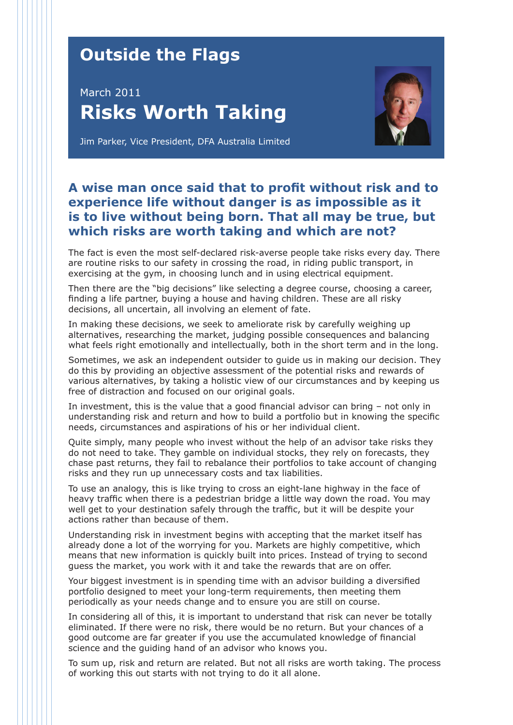## **Outside the Flags**

## March 2011 **Risks Worth Taking**



Jim Parker, Vice President, DFA Australia Limited

## **A wise man once said that to profit without risk and to experience life without danger is as impossible as it is to live without being born. That all may be true, but which risks are worth taking and which are not?**

The fact is even the most self-declared risk-averse people take risks every day. There are routine risks to our safety in crossing the road, in riding public transport, in exercising at the gym, in choosing lunch and in using electrical equipment.

Then there are the "big decisions" like selecting a degree course, choosing a career, finding a life partner, buying a house and having children. These are all risky decisions, all uncertain, all involving an element of fate.

In making these decisions, we seek to ameliorate risk by carefully weighing up alternatives, researching the market, judging possible consequences and balancing what feels right emotionally and intellectually, both in the short term and in the long.

Sometimes, we ask an independent outsider to guide us in making our decision. They do this by providing an objective assessment of the potential risks and rewards of various alternatives, by taking a holistic view of our circumstances and by keeping us free of distraction and focused on our original goals.

In investment, this is the value that a good financial advisor can bring – not only in understanding risk and return and how to build a portfolio but in knowing the specific needs, circumstances and aspirations of his or her individual client.

Quite simply, many people who invest without the help of an advisor take risks they do not need to take. They gamble on individual stocks, they rely on forecasts, they chase past returns, they fail to rebalance their portfolios to take account of changing risks and they run up unnecessary costs and tax liabilities.

To use an analogy, this is like trying to cross an eight-lane highway in the face of heavy traffic when there is a pedestrian bridge a little way down the road. You may well get to your destination safely through the traffic, but it will be despite your actions rather than because of them.

Understanding risk in investment begins with accepting that the market itself has already done a lot of the worrying for you. Markets are highly competitive, which means that new information is quickly built into prices. Instead of trying to second guess the market, you work with it and take the rewards that are on offer.

Your biggest investment is in spending time with an advisor building a diversified portfolio designed to meet your long-term requirements, then meeting them periodically as your needs change and to ensure you are still on course.

In considering all of this, it is important to understand that risk can never be totally eliminated. If there were no risk, there would be no return. But your chances of a good outcome are far greater if you use the accumulated knowledge of financial science and the guiding hand of an advisor who knows you.

To sum up, risk and return are related. But not all risks are worth taking. The process of working this out starts with not trying to do it all alone.